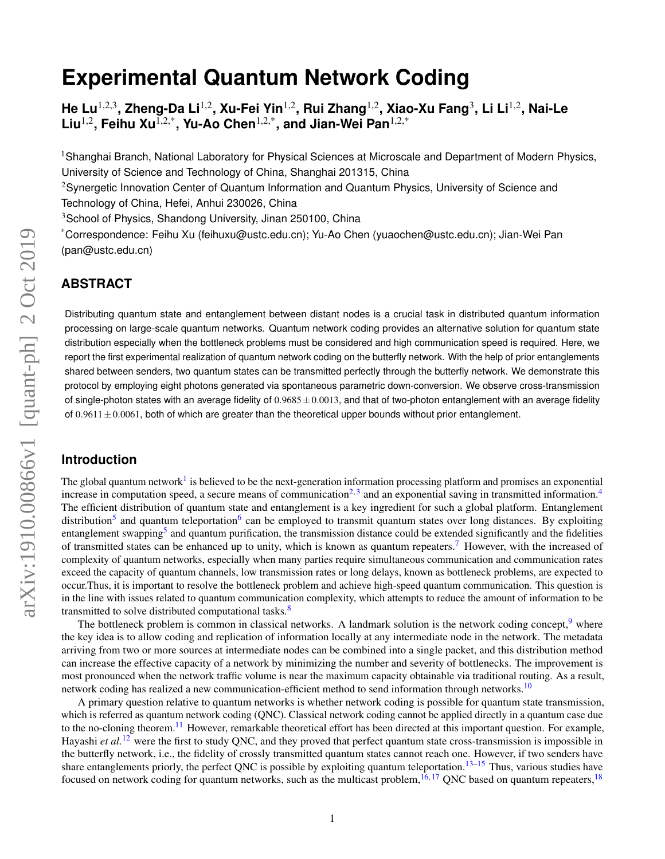# **Experimental Quantum Network Coding**

**He Lu**1,2,3**, Zheng-Da Li**1,2**, Xu-Fei Yin**1,2**, Rui Zhang**1,2**, Xiao-Xu Fang**<sup>3</sup> **, Li Li**1,2**, Nai-Le Liu**1,2**, Feihu Xu**1,2,\***, Yu-Ao Chen**1,2,\***, and Jian-Wei Pan**1,2,\*

<sup>1</sup>Shanghai Branch, National Laboratory for Physical Sciences at Microscale and Department of Modern Physics, University of Science and Technology of China, Shanghai 201315, China

<sup>2</sup>Synergetic Innovation Center of Quantum Information and Quantum Physics, University of Science and Technology of China, Hefei, Anhui 230026, China

<sup>3</sup>School of Physics, Shandong University, Jinan 250100, China

\*Correspondence: Feihu Xu (feihuxu@ustc.edu.cn); Yu-Ao Chen (yuaochen@ustc.edu.cn); Jian-Wei Pan (pan@ustc.edu.cn)

## **ABSTRACT**

Distributing quantum state and entanglement between distant nodes is a crucial task in distributed quantum information processing on large-scale quantum networks. Quantum network coding provides an alternative solution for quantum state distribution especially when the bottleneck problems must be considered and high communication speed is required. Here, we report the first experimental realization of quantum network coding on the butterfly network. With the help of prior entanglements shared between senders, two quantum states can be transmitted perfectly through the butterfly network. We demonstrate this protocol by employing eight photons generated via spontaneous parametric down-conversion. We observe cross-transmission of single-photon states with an average fidelity of  $0.9685 \pm 0.0013$ , and that of two-photon entanglement with an average fidelity of  $0.9611 \pm 0.0061$ , both of which are greater than the theoretical upper bounds without prior entanglement.

## **Introduction**

The global quantum network<sup>[1](#page-5-0)</sup> is believed to be the next-generation information processing platform and promises an exponential increase in computation speed, a secure means of communication<sup>[2,](#page-5-1) [3](#page-5-2)</sup> and an exponential saving in transmitted information.<sup>[4](#page-5-3)</sup> The efficient distribution of quantum state and entanglement is a key ingredient for such a global platform. Entanglement distribution<sup>[5](#page-5-4)</sup> and quantum teleportation<sup>[6](#page-5-5)</sup> can be employed to transmit quantum states over long distances. By exploiting entanglement swapping<sup>[5](#page-5-4)</sup> and quantum purification, the transmission distance could be extended significantly and the fidelities of transmitted states can be enhanced up to unity, which is known as quantum repeaters.[7](#page-5-6) However, with the increased of complexity of quantum networks, especially when many parties require simultaneous communication and communication rates exceed the capacity of quantum channels, low transmission rates or long delays, known as bottleneck problems, are expected to occur.Thus, it is important to resolve the bottleneck problem and achieve high-speed quantum communication. This question is in the line with issues related to quantum communication complexity, which attempts to reduce the amount of information to be transmitted to solve distributed computational tasks.<sup>[8](#page-5-7)</sup>

The bottleneck problem is common in classical networks. A landmark solution is the network coding concept, where the key idea is to allow coding and replication of information locally at any intermediate node in the network. The metadata arriving from two or more sources at intermediate nodes can be combined into a single packet, and this distribution method can increase the effective capacity of a network by minimizing the number and severity of bottlenecks. The improvement is most pronounced when the network traffic volume is near the maximum capacity obtainable via traditional routing. As a result, network coding has realized a new communication-efficient method to send information through networks.<sup>[10](#page-5-9)</sup>

A primary question relative to quantum networks is whether network coding is possible for quantum state transmission, which is referred as quantum network coding (QNC). Classical network coding cannot be applied directly in a quantum case due to the no-cloning theorem.<sup>[11](#page-6-0)</sup> However, remarkable theoretical effort has been directed at this important question. For example, Hayashi *et al.*<sup>[12](#page-6-1)</sup> were the first to study QNC, and they proved that perfect quantum state cross-transmission is impossible in the butterfly network, i.e., the fidelity of crossly transmitted quantum states cannot reach one. However, if two senders have share entanglements priorly, the perfect QNC is possible by exploiting quantum teleportation.<sup>[13–](#page-6-2)[15](#page-6-3)</sup> Thus, various studies have focused on network coding for quantum networks, such as the multicast problem,  $^{16, 17}$  $^{16, 17}$  $^{16, 17}$  $^{16, 17}$  $^{16, 17}$  QNC based on quantum repeaters,  $^{18}$  $^{18}$  $^{18}$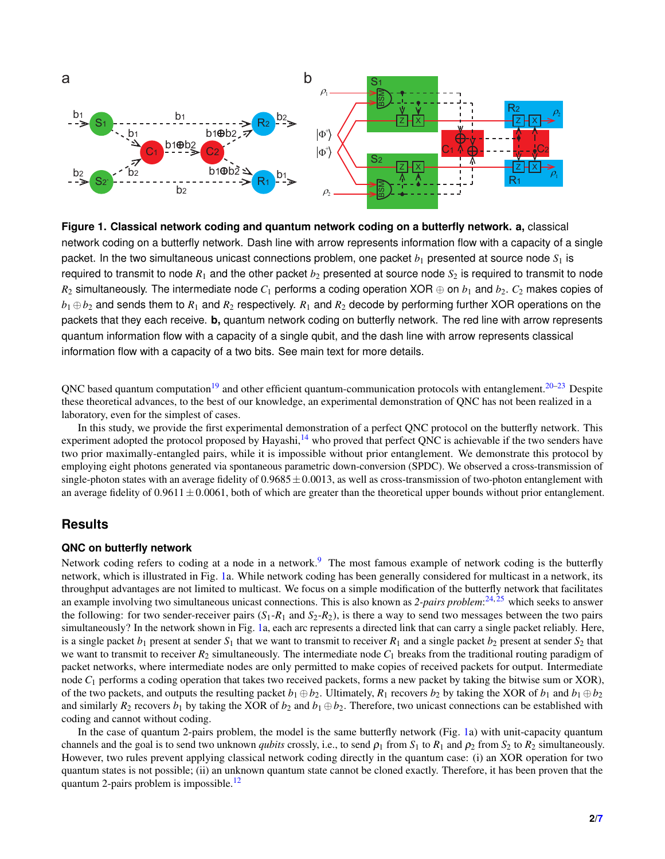

<span id="page-1-0"></span>**Figure 1. Classical network coding and quantum network coding on a butterfly network. a,** classical network coding on a butterfly network. Dash line with arrow represents information flow with a capacity of a single packet. In the two simultaneous unicast connections problem, one packet  $b_1$  presented at source node  $S_1$  is required to transmit to node  $R_1$  and the other packet  $b_2$  presented at source node  $S_2$  is required to transmit to node  $R_2$  simultaneously. The intermediate node  $C_1$  performs a coding operation XOR  $\oplus$  on  $b_1$  and  $b_2$ .  $C_2$  makes copies of *b*<sup>1</sup> ⊕*b*<sup>2</sup> and sends them to *R*<sup>1</sup> and *R*<sup>2</sup> respectively. *R*<sup>1</sup> and *R*<sup>2</sup> decode by performing further XOR operations on the packets that they each receive. **b,** quantum network coding on butterfly network. The red line with arrow represents quantum information flow with a capacity of a single qubit, and the dash line with arrow represents classical information flow with a capacity of a two bits. See main text for more details.

ONC based quantum computation<sup>[19](#page-6-7)</sup> and other efficient quantum-communication protocols with entanglement.<sup>[20](#page-6-8)[–23](#page-6-9)</sup> Despite these theoretical advances, to the best of our knowledge, an experimental demonstration of QNC has not been realized in a laboratory, even for the simplest of cases.

In this study, we provide the first experimental demonstration of a perfect QNC protocol on the butterfly network. This experiment adopted the protocol proposed by Hayashi,<sup>[14](#page-6-10)</sup> who proved that perfect QNC is achievable if the two senders have two prior maximally-entangled pairs, while it is impossible without prior entanglement. We demonstrate this protocol by employing eight photons generated via spontaneous parametric down-conversion (SPDC). We observed a cross-transmission of single-photon states with an average fidelity of  $0.9685 \pm 0.0013$ , as well as cross-transmission of two-photon entanglement with an average fidelity of  $0.9611 \pm 0.0061$ , both of which are greater than the theoretical upper bounds without prior entanglement.

#### **Results**

#### **QNC on butterfly network**

Network coding refers to coding at a node in a network.<sup>[9](#page-5-8)</sup> The most famous example of network coding is the butterfly network, which is illustrated in Fig. [1a](#page-1-0). While network coding has been generally considered for multicast in a network, its throughput advantages are not limited to multicast. We focus on a simple modification of the butterfly network that facilitates an example involving two simultaneous unicast connections. This is also known as 2-pairs problem:<sup>[24,](#page-6-11) [25](#page-6-12)</sup> which seeks to answer the following: for two sender-receiver pairs  $(S_1 - R_1$  and  $S_2 - R_2)$ , is there a way to send two messages between the two pairs simultaneously? In the network shown in Fig. [1a](#page-1-0), each arc represents a directed link that can carry a single packet reliably. Here, is a single packet  $b_1$  present at sender  $S_1$  that we want to transmit to receiver  $R_1$  and a single packet  $b_2$  present at sender  $S_2$  that we want to transmit to receiver  $R_2$  simultaneously. The intermediate node  $C_1$  breaks from the traditional routing paradigm of packet networks, where intermediate nodes are only permitted to make copies of received packets for output. Intermediate node *C*<sup>1</sup> performs a coding operation that takes two received packets, forms a new packet by taking the bitwise sum or XOR), of the two packets, and outputs the resulting packet  $b_1 \oplus b_2$ . Ultimately,  $R_1$  recovers  $b_2$  by taking the XOR of  $b_1$  and  $b_1 \oplus b_2$ and similarly  $R_2$  recovers  $b_1$  by taking the XOR of  $b_2$  and  $b_1 \oplus b_2$ . Therefore, two unicast connections can be established with coding and cannot without coding.

In the case of quantum 2-pairs problem, the model is the same butterfly network (Fig. [1a](#page-1-0)) with unit-capacity quantum channels and the goal is to send two unknown *qubits* crossly, i.e., to send  $\rho_1$  from  $S_1$  to  $R_1$  and  $\rho_2$  from  $S_2$  to  $R_2$  simultaneously. However, two rules prevent applying classical network coding directly in the quantum case: (i) an XOR operation for two quantum states is not possible; (ii) an unknown quantum state cannot be cloned exactly. Therefore, it has been proven that the quantum 2-pairs problem is impossible.[12](#page-6-1)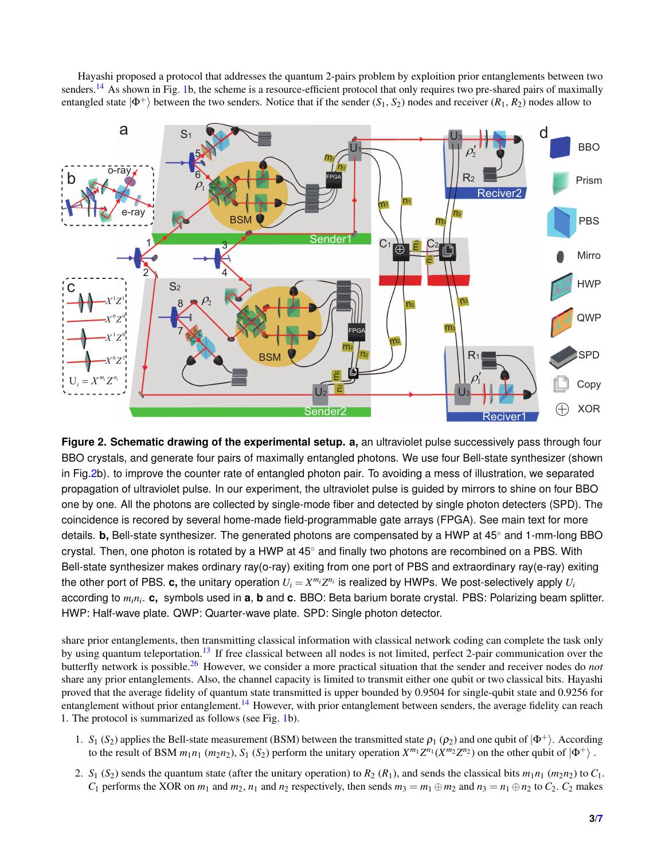Hayashi proposed a protocol that addresses the quantum 2-pairs problem by exploition prior entanglements between two senders.<sup>[14](#page-6-10)</sup> As shown in Fig. [1b](#page-1-0), the scheme is a resource-efficient protocol that only requires two pre-shared pairs of maximally entangled state  $|\Phi^+\rangle$  between the two senders. Notice that if the sender  $(S_1, S_2)$  nodes and receiver  $(R_1, R_2)$  nodes allow to



<span id="page-2-0"></span>**Figure 2. Schematic drawing of the experimental setup. a,** an ultraviolet pulse successively pass through four BBO crystals, and generate four pairs of maximally entangled photons. We use four Bell-state synthesizer (shown in Fig[.2b](#page-2-0)). to improve the counter rate of entangled photon pair. To avoiding a mess of illustration, we separated propagation of ultraviolet pulse. In our experiment, the ultraviolet pulse is guided by mirrors to shine on four BBO one by one. All the photons are collected by single-mode fiber and detected by single photon detecters (SPD). The coincidence is recored by several home-made field-programmable gate arrays (FPGA). See main text for more details. **b,** Bell-state synthesizer. The generated photons are compensated by a HWP at 45◦ and 1-mm-long BBO crystal. Then, one photon is rotated by a HWP at 45◦ and finally two photons are recombined on a PBS. With Bell-state synthesizer makes ordinary ray(o-ray) exiting from one port of PBS and extraordinary ray(e-ray) exiting the other port of PBS.  ${\bf c}$ , the unitary operation  $U_i=X^{m_i}Z^{n_i}$  is realized by HWPs. We post-selectively apply  $U_i$ according to *min<sup>i</sup>* . **c,** symbols used in **a**, **b** and **c**. BBO: Beta barium borate crystal. PBS: Polarizing beam splitter. HWP: Half-wave plate. QWP: Quarter-wave plate. SPD: Single photon detector.

share prior entanglements, then transmitting classical information with classical network coding can complete the task only by using quantum teleportation.<sup>[13](#page-6-2)</sup> If free classical between all nodes is not limited, perfect 2-pair communication over the butterfly network is possible.[26](#page-6-14) However, we consider a more practical situation that the sender and receiver nodes do *not* share any prior entanglements. Also, the channel capacity is limited to transmit either one qubit or two classical bits. Hayashi proved that the average fidelity of quantum state transmitted is upper bounded by 0.9504 for single-qubit state and 0.9256 for entanglement without prior entanglement.<sup>[14](#page-6-10)</sup> However, with prior entanglement between senders, the average fidelity can reach 1. The protocol is summarized as follows (see Fig. [1b](#page-1-0)).

- 1.  $S_1$  ( $S_2$ ) applies the Bell-state measurement (BSM) between the transmitted state  $\rho_1$  ( $\rho_2$ ) and one qubit of  $|\Phi^+\rangle$ . According to the result of BSM  $m_1n_1$   $(m_2n_2)$ ,  $S_1$   $(S_2)$  perform the unitary operation  $X^{m_1}Z^{n_1}(X^{m_2}Z^{n_2})$  on the other qubit of  $|\Phi^+\rangle$ .
- 2.  $S_1$  ( $S_2$ ) sends the quantum state (after the unitary operation) to  $R_2$  ( $R_1$ ), and sends the classical bits  $m_1n_1$  ( $m_2n_2$ ) to  $C_1$ . *C*<sub>1</sub> performs the XOR on  $m_1$  and  $m_2$ ,  $n_1$  and  $n_2$  respectively, then sends  $m_3 = m_1 \oplus m_2$  and  $n_3 = n_1 \oplus n_2$  to  $C_2$ .  $C_2$  makes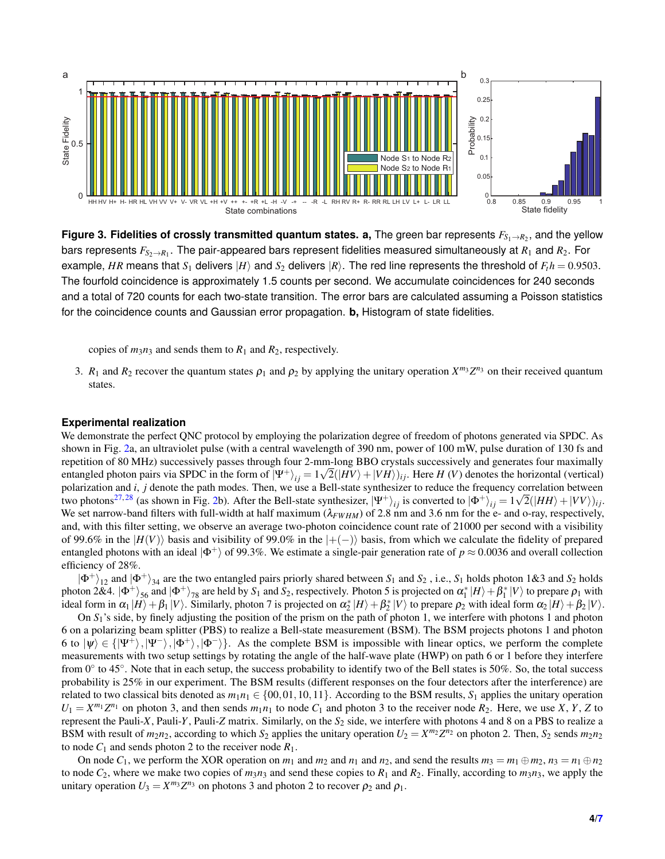

<span id="page-3-0"></span>**Figure 3. Fidelities of crossly transmitted quantum states. a,** The green bar represents  $F_{S_1\to R_2}$ , and the yellow bars represents  $F_{S_2\to R_1}.$  The pair-appeared bars represent fidelities measured simultaneously at  $R_1$  and  $R_2.$  For example, *HR* means that *S*<sub>1</sub> delivers  $|H\rangle$  and *S*<sub>2</sub> delivers  $|R\rangle$ . The red line represents the threshold of  $F_t h = 0.9503$ . The fourfold coincidence is approximately 1.5 counts per second. We accumulate coincidences for 240 seconds and a total of 720 counts for each two-state transition. The error bars are calculated assuming a Poisson statistics for the coincidence counts and Gaussian error propagation. **b,** Histogram of state fidelities.

copies of  $m_3n_3$  and sends them to  $R_1$  and  $R_2$ , respectively.

3.  $R_1$  and  $R_2$  recover the quantum states  $\rho_1$  and  $\rho_2$  by applying the unitary operation  $X^{m_3}Z^{n_3}$  on their received quantum states.

#### **Experimental realization**

We demonstrate the perfect QNC protocol by employing the polarization degree of freedom of photons generated via SPDC. As shown in Fig. [2a](#page-2-0), an ultraviolet pulse (with a central wavelength of 390 nm, power of 100 mW, pulse duration of 130 fs and repetition of 80 MHz) successively passes through four 2-mm-long BBO crystals successively and generates four maximally entangled photon pairs via SPDC in the form of  $|\Psi^+\rangle_{ij} = 1\sqrt{2}(|HV\rangle + |VH\rangle)_{ij}$ . Here *H* (*V*) denotes the horizontal (vertical) polarization and *i*, *j* denote the path modes. Then, we use a Bell-state synthesizer to reduce the frequency correlation between two photons<sup>[27,](#page-6-15) [28](#page-6-16)</sup> (as shown in Fig. [2b](#page-2-0)). After the Bell-state synthesizer,  $|\Psi^{+}\rangle_{ij}$  is converted to  $|\Phi^{+}\rangle_{ij} = 1\sqrt{2}(|HH\rangle + |VV\rangle)_{ij}$ . We set narrow-band filters with full-width at half maximum (λ*FW HM*) of 2.8 nm and 3.6 nm for the e- and o-ray, respectively, and, with this filter setting, we observe an average two-photon coincidence count rate of 21000 per second with a visibility of 99.6% in the  $|H(V)\rangle$  basis and visibility of 99.0% in the  $|+(-)\rangle$  basis, from which we calculate the fidelity of prepared entangled photons with an ideal  $|\Phi^+\rangle$  of 99.3%. We estimate a single-pair generation rate of  $p \approx 0.0036$  and overall collection efficiency of 28%.

 $|\Phi^{+}\rangle_{12}$  and  $|\Phi^{+}\rangle_{34}$  are the two entangled pairs priorly shared between *S*<sub>1</sub> and *S*<sub>2</sub>, i.e., *S*<sub>1</sub> holds photon 1&3 and *S*<sub>2</sub> holds photon 2&4.  $|\Phi^+\rangle_{56}$  and  $|\Phi^+\rangle_{78}$  are held by  $S_1$  and  $S_2$ , respectively. Photon 5 is projected on  $\alpha_1^*|H\rangle + \beta_1^*|V\rangle$  to prepare  $\rho_1$  with ideal form in  $\alpha_1 |H\rangle + \beta_1 |V\rangle$ . Similarly, photon 7 is projected on  $\alpha_2^* |H\rangle + \beta_2^* |V\rangle$  to prepare  $\rho_2$  with ideal form  $\alpha_2 |H\rangle + \beta_2 |V\rangle$ .

On *S*1's side, by finely adjusting the position of the prism on the path of photon 1, we interfere with photons 1 and photon 6 on a polarizing beam splitter (PBS) to realize a Bell-state measurement (BSM). The BSM projects photons 1 and photon 6 to  $|\psi\rangle \in \{|\Psi^+\rangle, |\Psi^-\rangle, |\Phi^+\rangle, |\Phi^-\rangle\}$ . As the complete BSM is impossible with linear optics, we perform the complete measurements with two setup settings by rotating the angle of the half-wave plate (HWP) on path 6 or 1 before they interfere from  $0^\circ$  to  $45^\circ$ . Note that in each setup, the success probability to identify two of the Bell states is 50%. So, the total success probability is 25% in our experiment. The BSM results (different responses on the four detectors after the interference) are related to two classical bits denoted as  $m_1 n_1 \in \{00, 01, 10, 11\}$ . According to the BSM results,  $S_1$  applies the unitary operation  $U_1 = X^{m_1}Z^{n_1}$  on photon 3, and then sends  $m_1n_1$  to node  $C_1$  and photon 3 to the receiver node  $R_2$ . Here, we use *X*, *Y*, *Z* to represent the Pauli-*X*, Pauli-*Y*, Pauli-*Z* matrix. Similarly, on the *S*<sup>2</sup> side, we interfere with photons 4 and 8 on a PBS to realize a BSM with result of  $m_2n_2$ , according to which  $S_2$  applies the unitary operation  $U_2 = X^{m_2}Z^{n_2}$  on photon 2. Then,  $S_2$  sends  $m_2n_2$ to node  $C_1$  and sends photon 2 to the receiver node  $R_1$ .

On node  $C_1$ , we perform the XOR operation on  $m_1$  and  $m_2$  and  $n_1$  and  $n_2$ , and send the results  $m_3 = m_1 \oplus m_2$ ,  $n_3 = n_1 \oplus n_2$ to node  $C_2$ , where we make two copies of  $m_3n_3$  and send these copies to  $R_1$  and  $R_2$ . Finally, according to  $m_3n_3$ , we apply the unitary operation  $U_3 = X^{m_3}Z^{n_3}$  on photons 3 and photon 2 to recover  $\rho_2$  and  $\rho_1$ .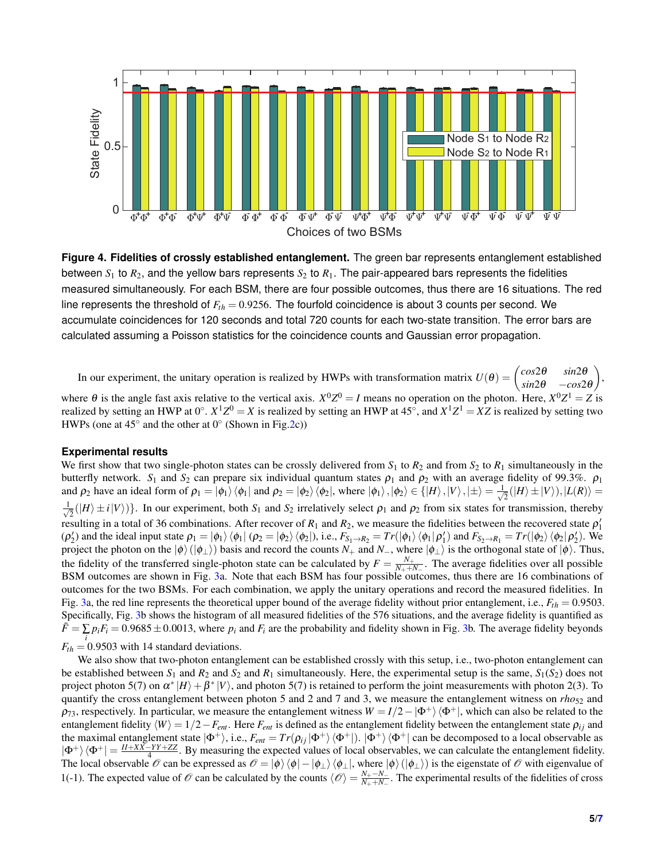

<span id="page-4-0"></span>**Figure 4. Fidelities of crossly established entanglement.** The green bar represents entanglement established between  $S_1$  to  $R_2$ , and the yellow bars represents  $S_2$  to  $R_1$ . The pair-appeared bars represents the fidelities measured simultaneously. For each BSM, there are four possible outcomes, thus there are 16 situations. The red line represents the threshold of  $F_{th} = 0.9256$ . The fourfold coincidence is about 3 counts per second. We accumulate coincidences for 120 seconds and total 720 counts for each two-state transition. The error bars are calculated assuming a Poisson statistics for the coincidence counts and Gaussian error propagation.

In our experiment, the unitary operation is realized by HWPs with transformation matrix  $U(\theta) = \begin{pmatrix} cos2\theta & sin2\theta \\ sin2\theta & -cos2\theta \end{pmatrix}$ *sin*2θ −*cos*2θ  $\bigg),$ where  $\theta$  is the angle fast axis relative to the vertical axis.  $X^0Z^0 = I$  means no operation on the photon. Here,  $X^0Z^1 = Z$  is realized by setting an HWP at  $0^\circ$ .  $X^1Z^0 = X$  is realized by setting an HWP at 45°, and  $X^1Z^1 = XZ$  is realized by setting two HWPs (one at  $45^\circ$  and the other at  $0^\circ$  (Shown in Fig[.2c](#page-2-0)))

#### **Experimental results**

We first show that two single-photon states can be crossly delivered from  $S_1$  to  $R_2$  and from  $S_2$  to  $R_1$  simultaneously in the butterfly network.  $S_1$  and  $S_2$  can prepare six individual quantum states  $\rho_1$  and  $\rho_2$  with an average fidelity of 99.3%.  $\rho_1$ and  $\rho_2$  have an ideal form of  $\rho_1 = |\phi_1\rangle \langle \phi_1|$  and  $\rho_2 = |\phi_2\rangle \langle \phi_2|$ , where  $|\phi_1\rangle, |\phi_2\rangle \in \{|H\rangle, |V\rangle, |\pm\rangle = \frac{1}{\sqrt{2}}$  $\frac{1}{2}(|H\rangle \pm |V\rangle),|L(R)\rangle =$  $\frac{1}{\sqrt{2}}$  $\overline{Z}(|H\rangle \pm i|V\rangle)$ . In our experiment, both  $S_1$  and  $S_2$  irrelatively select  $\rho_1$  and  $\rho_2$  from six states for transmission, thereby resulting in a total of 36 combinations. After recover of  $R_1$  and  $R_2$ , we measure the fidelities between the recovered state  $\rho'_1$  $(\rho_2)$  and the ideal input state  $\rho_1 = |\phi_1\rangle \langle \phi_1|$   $(\rho_2 = |\phi_2\rangle \langle \phi_2|)$ , i.e.,  $F_{S_1 \to R_2} = Tr(|\phi_1\rangle \langle \phi_1| \rho_1')$  and  $F_{S_2 \to R_1} = Tr(|\phi_2\rangle \langle \phi_2| \rho_2')$ . We project the photon on the  $|\phi\rangle(\ket{\phi_\perp})$  basis and record the counts *N*<sub>+</sub> and *N*<sub>−</sub>, where  $|\phi_\perp\rangle$  is the orthogonal state of  $|\phi\rangle$ . Thus, the fidelity of the transferred single-photon state can be calculated by  $F = \frac{N_+}{N_+ + l}$  $\frac{N_+}{N_++N_-}$ . The average fidelities over all possible BSM outcomes are shown in Fig. [3a](#page-3-0). Note that each BSM has four possible outcomes, thus there are 16 combinations of outcomes for the two BSMs. For each combination, we apply the unitary operations and record the measured fidelities. In Fig. [3a](#page-3-0), the red line represents the theoretical upper bound of the average fidelity without prior entanglement, i.e., *Fth* = 0.9503. Specifically, Fig. [3b](#page-3-0) shows the histogram of all measured fidelities of the 576 situations, and the average fidelity is quantified as  $\bar{F} = \sum_i p_i F_i = 0.9685 \pm 0.0013$ , where  $p_i$  and  $F_i$  are the probability and fidelity shown in Fig. [3b](#page-3-0). The average fidelity beyonds  $F_{th} = 0.9503$  with 14 standard deviations.

We also show that two-photon entanglement can be established crossly with this setup, i.e., two-photon entanglement can be established between  $S_1$  and  $R_2$  and  $S_2$  and  $R_1$  simultaneously. Here, the experimental setup is the same,  $S_1(S_2)$  does not project photon 5(7) on  $\alpha^*$   $|H\rangle + \beta^*$   $|V\rangle$ , and photon 5(7) is retained to perform the joint measurements with photon 2(3). To quantify the cross entanglement between photon 5 and 2 and 7 and 3, we measure the entanglement witness on *rho*<sub>52</sub> and  $\rho_{73}$ , respectively. In particular, we measure the entanglement witness  $W = I/2 - |\Phi^+\rangle \langle \Phi^+|$ , which can also be related to the entanglement fidelity  $\langle W \rangle = 1/2 - F_{ent}$ . Here  $F_{ent}$  is defined as the entanglement fidelity between the entanglement state  $\rho_{ij}$  and the maximal entanglement state  $|\Phi^+\rangle$ , i.e.,  $F_{ent} = Tr(\rho_{ij}|\Phi^+\rangle\langle\Phi^+|)$ .  $|\Phi^+\rangle\langle\Phi^+|$  can be decomposed to a local observable as  $|\Phi^+\rangle\langle\Phi^+| = \frac{H+XX-YY+ZZ}{4}$ . By measuring the expected values of local observables, we can calculate the entanglement fidelity. The local observable  $\mathscr O$  can be expressed as  $\mathscr O = |\phi\rangle\langle\phi| - |\phi_\perp\rangle\langle\phi_\perp|$ , where  $|\phi\rangle(\ket{\phi_\perp})$  is the eigenstate of  $\mathscr O$  with eigenvalue of 1(-1). The expected value of  $\mathcal O$  can be calculated by the counts  $\langle \mathcal O \rangle = \frac{N_+ - N_-}{N_+ + N_-}$  $\frac{N_+ - N_-}{N_+ + N_-}$ . The experimental results of the fidelities of cross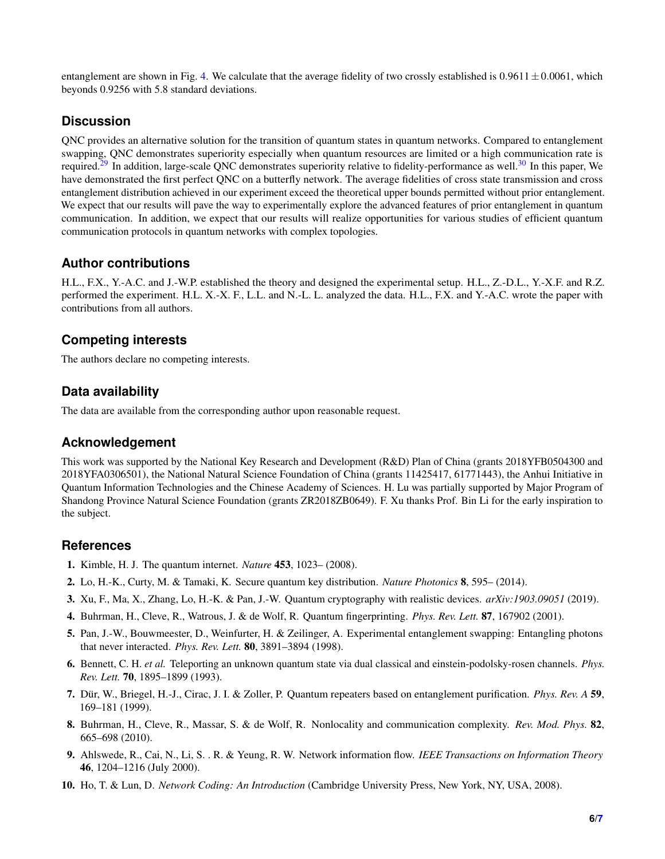entanglement are shown in Fig. [4.](#page-4-0) We calculate that the average fidelity of two crossly established is  $0.9611 \pm 0.0061$ , which beyonds 0.9256 with 5.8 standard deviations.

## **Discussion**

QNC provides an alternative solution for the transition of quantum states in quantum networks. Compared to entanglement swapping, QNC demonstrates superiority especially when quantum resources are limited or a high communication rate is required.<sup>[29](#page-6-17)</sup> In addition, large-scale QNC demonstrates superiority relative to fidelity-performance as well.<sup>[30](#page-6-18)</sup> In this paper, We have demonstrated the first perfect QNC on a butterfly network. The average fidelities of cross state transmission and cross entanglement distribution achieved in our experiment exceed the theoretical upper bounds permitted without prior entanglement. We expect that our results will pave the way to experimentally explore the advanced features of prior entanglement in quantum communication. In addition, we expect that our results will realize opportunities for various studies of efficient quantum communication protocols in quantum networks with complex topologies.

## **Author contributions**

H.L., F.X., Y.-A.C. and J.-W.P. established the theory and designed the experimental setup. H.L., Z.-D.L., Y.-X.F. and R.Z. performed the experiment. H.L. X.-X. F., L.L. and N.-L. L. analyzed the data. H.L., F.X. and Y.-A.C. wrote the paper with contributions from all authors.

# **Competing interests**

The authors declare no competing interests.

## **Data availability**

The data are available from the corresponding author upon reasonable request.

### **Acknowledgement**

This work was supported by the National Key Research and Development (R&D) Plan of China (grants 2018YFB0504300 and 2018YFA0306501), the National Natural Science Foundation of China (grants 11425417, 61771443), the Anhui Initiative in Quantum Information Technologies and the Chinese Academy of Sciences. H. Lu was partially supported by Major Program of Shandong Province Natural Science Foundation (grants ZR2018ZB0649). F. Xu thanks Prof. Bin Li for the early inspiration to the subject.

### **References**

- <span id="page-5-0"></span>1. Kimble, H. J. The quantum internet. *Nature* 453, 1023– (2008).
- <span id="page-5-1"></span>2. Lo, H.-K., Curty, M. & Tamaki, K. Secure quantum key distribution. *Nature Photonics* 8, 595– (2014).
- <span id="page-5-2"></span>3. Xu, F., Ma, X., Zhang, Lo, H.-K. & Pan, J.-W. Quantum cryptography with realistic devices. *arXiv:1903.09051* (2019).
- <span id="page-5-3"></span>4. Buhrman, H., Cleve, R., Watrous, J. & de Wolf, R. Quantum fingerprinting. *Phys. Rev. Lett.* 87, 167902 (2001).
- <span id="page-5-4"></span>5. Pan, J.-W., Bouwmeester, D., Weinfurter, H. & Zeilinger, A. Experimental entanglement swapping: Entangling photons that never interacted. *Phys. Rev. Lett.* 80, 3891–3894 (1998).
- <span id="page-5-5"></span>6. Bennett, C. H. *et al.* Teleporting an unknown quantum state via dual classical and einstein-podolsky-rosen channels. *Phys. Rev. Lett.* 70, 1895–1899 (1993).
- <span id="page-5-6"></span>7. Dür, W., Briegel, H.-J., Cirac, J. I. & Zoller, P. Quantum repeaters based on entanglement purification. Phys. Rev. A 59, 169–181 (1999).
- <span id="page-5-7"></span>8. Buhrman, H., Cleve, R., Massar, S. & de Wolf, R. Nonlocality and communication complexity. *Rev. Mod. Phys.* 82, 665–698 (2010).
- <span id="page-5-8"></span>9. Ahlswede, R., Cai, N., Li, S. . R. & Yeung, R. W. Network information flow. *IEEE Transactions on Information Theory* 46, 1204–1216 (July 2000).
- <span id="page-5-9"></span>10. Ho, T. & Lun, D. *Network Coding: An Introduction* (Cambridge University Press, New York, NY, USA, 2008).